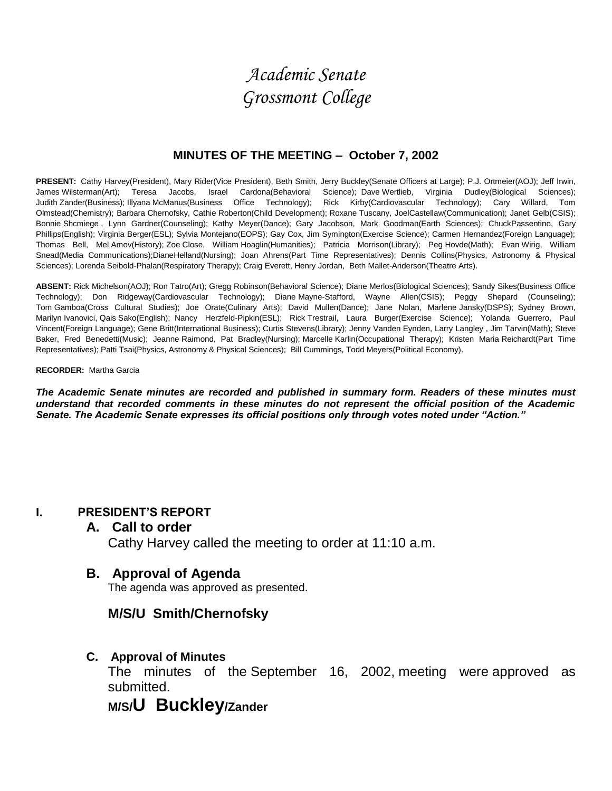# *Academic Senate Grossmont College*

## **MINUTES OF THE MEETING – October 7, 2002**

**PRESENT:** Cathy Harvey(President), Mary Rider(Vice President), Beth Smith, Jerry Buckley(Senate Officers at Large); P.J. Ortmeier(AOJ); Jeff Irwin, James Wilsterman(Art); Teresa Jacobs, Israel Cardona(Behavioral Science); Dave Wertlieb, Virginia Dudley(Biological Sciences); Judith Zander(Business); Illyana McManus(Business Office Technology); Rick Kirby(Cardiovascular Technology); Cary Willard, Tom Olmstead(Chemistry); Barbara Chernofsky, Cathie Roberton(Child Development); Roxane Tuscany, JoelCastellaw(Communication); Janet Gelb(CSIS); Bonnie Shcmiege , Lynn Gardner(Counseling); Kathy Meyer(Dance); Gary Jacobson, Mark Goodman(Earth Sciences); ChuckPassentino, Gary Phillips(English); Virginia Berger(ESL); Sylvia Montejano(EOPS); Gay Cox, Jim Symington(Exercise Science); Carmen Hernandez(Foreign Language); Thomas Bell, Mel Amov(History); Zoe Close, William Hoaglin(Humanities); Patricia Morrison(Library); Peg Hovde(Math); Evan Wirig, William Snead(Media Communications);DianeHelland(Nursing); Joan Ahrens(Part Time Representatives); Dennis Collins(Physics, Astronomy & Physical Sciences); Lorenda Seibold-Phalan(Respiratory Therapy); Craig Everett, Henry Jordan, Beth Mallet-Anderson(Theatre Arts).

**ABSENT:** Rick Michelson(AOJ); Ron Tatro(Art); Gregg Robinson(Behavioral Science); Diane Merlos(Biological Sciences); Sandy Sikes(Business Office Technology); Don Ridgeway(Cardiovascular Technology); Diane Mayne-Stafford, Wayne Allen(CSIS); Peggy Shepard (Counseling); Tom Gamboa(Cross Cultural Studies); Joe Orate(Culinary Arts); David Mullen(Dance); Jane Nolan, Marlene Jansky(DSPS); Sydney Brown, Marilyn Ivanovici, Qais Sako(English); Nancy Herzfeld-Pipkin(ESL); Rick Trestrail, Laura Burger(Exercise Science); Yolanda Guerrero, Paul Vincent(Foreign Language); Gene Britt(International Business); Curtis Stevens(Library); Jenny Vanden Eynden, Larry Langley , Jim Tarvin(Math); Steve Baker, Fred Benedetti(Music); Jeanne Raimond, Pat Bradley(Nursing); Marcelle Karlin(Occupational Therapy); Kristen Maria Reichardt(Part Time Representatives); Patti Tsai(Physics, Astronomy & Physical Sciences); Bill Cummings, Todd Meyers(Political Economy).

#### **RECORDER:** Martha Garcia

*The Academic Senate minutes are recorded and published in summary form. Readers of these minutes must understand that recorded comments in these minutes do not represent the official position of the Academic Senate. The Academic Senate expresses its official positions only through votes noted under "Action."*

## **I. PRESIDENT'S REPORT**

## **A. Call to order**

Cathy Harvey called the meeting to order at 11:10 a.m.

## **B. Approval of Agenda**

The agenda was approved as presented.

## **M/S/U Smith/Chernofsky**

## **C. Approval of Minutes**

The minutes of the September 16, 2002, meeting were approved as submitted.

## **M/S/U Buckley/Zander**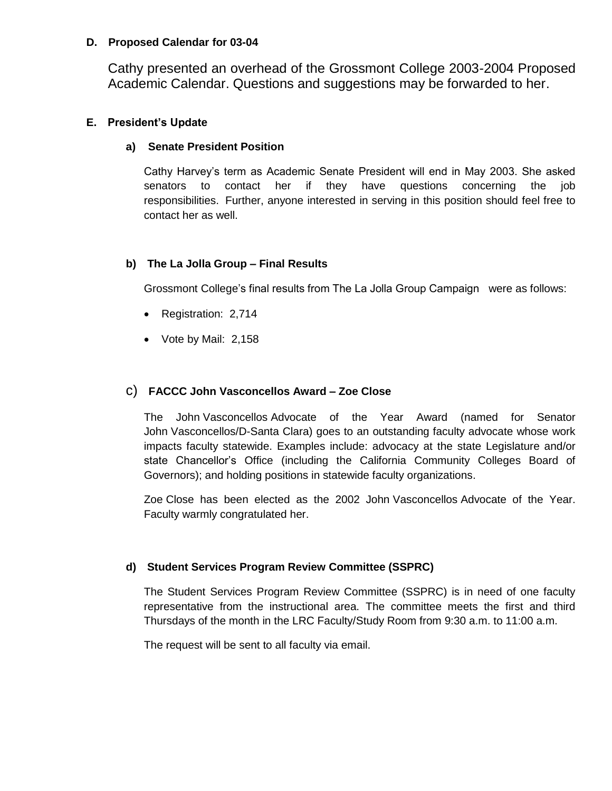#### **D. Proposed Calendar for 03-04**

Cathy presented an overhead of the Grossmont College 2003-2004 Proposed Academic Calendar. Questions and suggestions may be forwarded to her.

#### **E. President's Update**

#### **a) Senate President Position**

Cathy Harvey's term as Academic Senate President will end in May 2003. She asked senators to contact her if they have questions concerning the job responsibilities. Further, anyone interested in serving in this position should feel free to contact her as well.

#### **b) The La Jolla Group – Final Results**

Grossmont College's final results from The La Jolla Group Campaign were as follows:

- Registration: 2,714
- Vote by Mail: 2,158

#### c) **FACCC John Vasconcellos Award – Zoe Close**

The John Vasconcellos Advocate of the Year Award (named for Senator John Vasconcellos/D-Santa Clara) goes to an outstanding faculty advocate whose work impacts faculty statewide. Examples include: advocacy at the state Legislature and/or state Chancellor's Office (including the California Community Colleges Board of Governors); and holding positions in statewide faculty organizations.

Zoe Close has been elected as the 2002 John Vasconcellos Advocate of the Year. Faculty warmly congratulated her.

#### **d) Student Services Program Review Committee (SSPRC)**

The Student Services Program Review Committee (SSPRC) is in need of one faculty representative from the instructional area. The committee meets the first and third Thursdays of the month in the LRC Faculty/Study Room from 9:30 a.m. to 11:00 a.m.

The request will be sent to all faculty via email.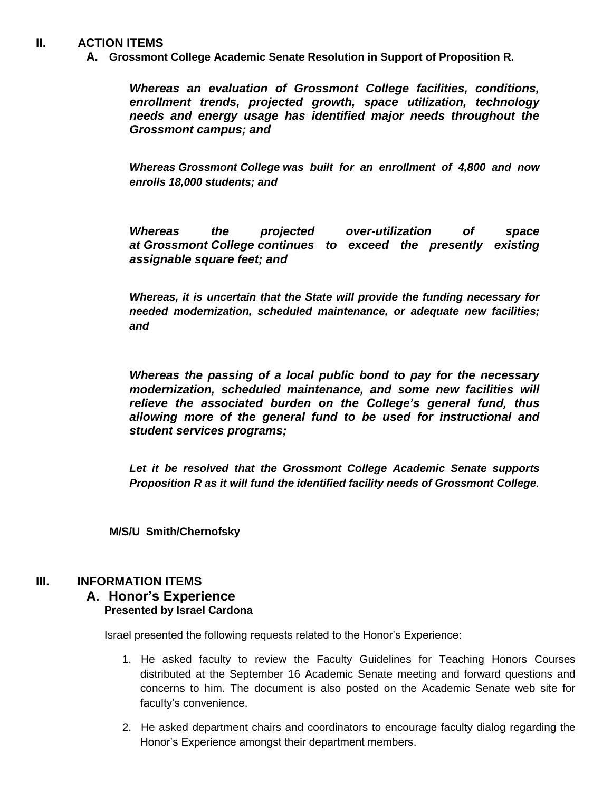#### **II. ACTION ITEMS**

**A. Grossmont College Academic Senate Resolution in Support of Proposition R.**

*Whereas an evaluation of Grossmont College facilities, conditions, enrollment trends, projected growth, space utilization, technology needs and energy usage has identified major needs throughout the Grossmont campus; and*

*Whereas Grossmont College was built for an enrollment of 4,800 and now enrolls 18,000 students; and*

*Whereas the projected over-utilization of space at Grossmont College continues to exceed the presently existing assignable square feet; and*

*Whereas, it is uncertain that the State will provide the funding necessary for needed modernization, scheduled maintenance, or adequate new facilities; and*

*Whereas the passing of a local public bond to pay for the necessary modernization, scheduled maintenance, and some new facilities will relieve the associated burden on the College's general fund, thus allowing more of the general fund to be used for instructional and student services programs;*

*Let it be resolved that the Grossmont College Academic Senate supports Proposition R as it will fund the identified facility needs of Grossmont College.*

 **M/S/U Smith/Chernofsky**

#### **III. INFORMATION ITEMS**

#### **A. Honor's Experience Presented by Israel Cardona**

Israel presented the following requests related to the Honor's Experience:

- 1. He asked faculty to review the Faculty Guidelines for Teaching Honors Courses distributed at the September 16 Academic Senate meeting and forward questions and concerns to him. The document is also posted on the Academic Senate web site for faculty's convenience.
- 2. He asked department chairs and coordinators to encourage faculty dialog regarding the Honor's Experience amongst their department members.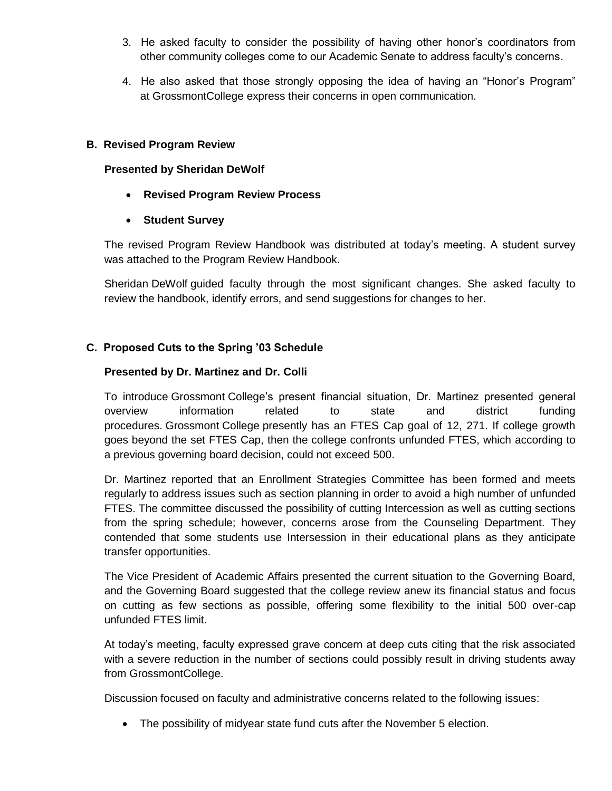- 3. He asked faculty to consider the possibility of having other honor's coordinators from other community colleges come to our Academic Senate to address faculty's concerns.
- 4. He also asked that those strongly opposing the idea of having an "Honor's Program" at GrossmontCollege express their concerns in open communication.

#### **B. Revised Program Review**

#### **Presented by Sheridan DeWolf**

- **Revised Program Review Process**
- **Student Survey**

The revised Program Review Handbook was distributed at today's meeting. A student survey was attached to the Program Review Handbook.

Sheridan DeWolf guided faculty through the most significant changes. She asked faculty to review the handbook, identify errors, and send suggestions for changes to her.

### **C. Proposed Cuts to the Spring '03 Schedule**

#### **Presented by Dr. Martinez and Dr. Colli**

To introduce Grossmont College's present financial situation, Dr. Martinez presented general overview information related to state and district funding procedures. Grossmont College presently has an FTES Cap goal of 12, 271. If college growth goes beyond the set FTES Cap, then the college confronts unfunded FTES, which according to a previous governing board decision, could not exceed 500.

Dr. Martinez reported that an Enrollment Strategies Committee has been formed and meets regularly to address issues such as section planning in order to avoid a high number of unfunded FTES. The committee discussed the possibility of cutting Intercession as well as cutting sections from the spring schedule; however, concerns arose from the Counseling Department. They contended that some students use Intersession in their educational plans as they anticipate transfer opportunities.

The Vice President of Academic Affairs presented the current situation to the Governing Board, and the Governing Board suggested that the college review anew its financial status and focus on cutting as few sections as possible, offering some flexibility to the initial 500 over-cap unfunded FTES limit.

At today's meeting, faculty expressed grave concern at deep cuts citing that the risk associated with a severe reduction in the number of sections could possibly result in driving students away from GrossmontCollege.

Discussion focused on faculty and administrative concerns related to the following issues:

The possibility of midyear state fund cuts after the November 5 election.